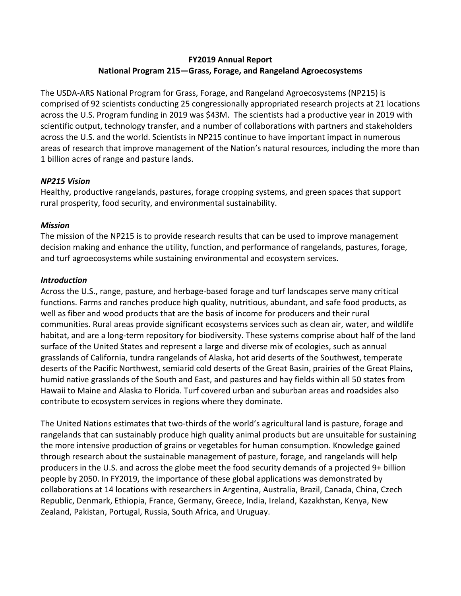# **FY2019 Annual Report National Program 215—Grass, Forage, and Rangeland Agroecosystems**

The USDA-ARS National Program for Grass, Forage, and Rangeland Agroecosystems (NP215) is comprised of 92 scientists conducting 25 congressionally appropriated research projects at 21 locations across the U.S. Program funding in 2019 was \$43M. The scientists had a productive year in 2019 with scientific output, technology transfer, and a number of collaborations with partners and stakeholders across the U.S. and the world. Scientists in NP215 continue to have important impact in numerous areas of research that improve management of the Nation's natural resources, including the more than 1 billion acres of range and pasture lands.

# *NP215 Vision*

Healthy, productive rangelands, pastures, forage cropping systems, and green spaces that support rural prosperity, food security, and environmental sustainability.

### *Mission*

The mission of the NP215 is to provide research results that can be used to improve management decision making and enhance the utility, function, and performance of rangelands, pastures, forage, and turf agroecosystems while sustaining environmental and ecosystem services.

### *Introduction*

Across the U.S., range, pasture, and herbage-based forage and turf landscapes serve many critical functions. Farms and ranches produce high quality, nutritious, abundant, and safe food products, as well as fiber and wood products that are the basis of income for producers and their rural communities. Rural areas provide significant ecosystems services such as clean air, water, and wildlife habitat, and are a long-term repository for biodiversity. These systems comprise about half of the land surface of the United States and represent a large and diverse mix of ecologies, such as annual grasslands of California, tundra rangelands of Alaska, hot arid deserts of the Southwest, temperate deserts of the Pacific Northwest, semiarid cold deserts of the Great Basin, prairies of the Great Plains, humid native grasslands of the South and East, and pastures and hay fields within all 50 states from Hawaii to Maine and Alaska to Florida. Turf covered urban and suburban areas and roadsides also contribute to ecosystem services in regions where they dominate.

The United Nations estimates that two-thirds of the world's agricultural land is pasture, forage and rangelands that can sustainably produce high quality animal products but are unsuitable for sustaining the more intensive production of grains or vegetables for human consumption. Knowledge gained through research about the sustainable management of pasture, forage, and rangelands will help producers in the U.S. and across the globe meet the food security demands of a projected 9+ billion people by 2050. In FY2019, the importance of these global applications was demonstrated by collaborations at 14 locations with researchers in Argentina, Australia, Brazil, Canada, China, Czech Republic, Denmark, Ethiopia, France, Germany, Greece, India, Ireland, Kazakhstan, Kenya, New Zealand, Pakistan, Portugal, Russia, South Africa, and Uruguay.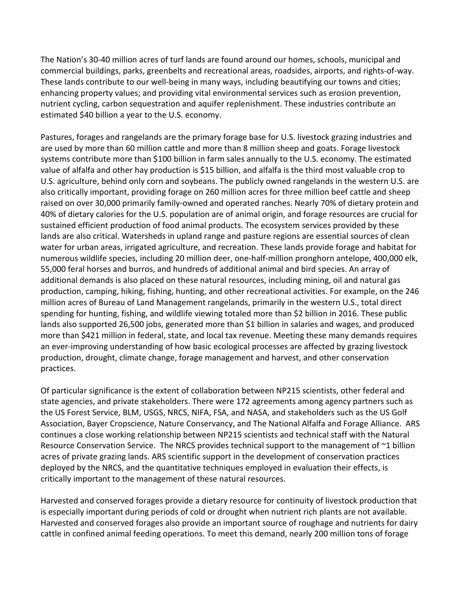The Nation's 30-40 million acres of turf lands are found around our homes, schools, municipal and commercial buildings, parks, greenbelts and recreational areas, roadsides, airports, and rights-of-way. These lands contribute to our well-being in many ways, including beautifying our towns and cities; enhancing property values; and providing vital environmental services such as erosion prevention, nutrient cycling, carbon sequestration and aquifer replenishment. These industries contribute an estimated \$40 billion a year to the U.S. economy.

Pastures, forages and rangelands are the primary forage base for U.S. livestock grazing industries and are used by more than 60 million cattle and more than 8 million sheep and goats. Forage livestock systems contribute more than \$100 billion in farm sales annually to the U.S. economy. The estimated value of alfalfa and other hay production is \$15 billion, and alfalfa is the third most valuable crop to U.S. agriculture, behind only corn and soybeans. The publicly owned rangelands in the western U.S. are also critically important, providing forage on 260 million acres for three million beef cattle and sheep raised on over 30,000 primarily family-owned and operated ranches. Nearly 70% of dietary protein and 40% of dietary calories for the U.S. population are of animal origin, and forage resources are crucial for sustained efficient production of food animal products. The ecosystem services provided by these lands are also critical. Watersheds in upland range and pasture regions are essential sources of clean water for urban areas, irrigated agriculture, and recreation. These lands provide forage and habitat for numerous wildlife species, including 20 million deer, one-half-million pronghorn antelope, 400,000 elk, 55,000 feral horses and burros, and hundreds of additional animal and bird species. An array of additional demands is also placed on these natural resources, including mining, oil and natural gas production, camping, hiking, fishing, hunting, and other recreational activities. For example, on the 246 million acres of Bureau of Land Management rangelands, primarily in the western U.S., total direct spending for hunting, fishing, and wildlife viewing totaled more than \$2 billion in 2016. These public lands also supported 26,500 jobs, generated more than \$1 billion in salaries and wages, and produced more than \$421 million in federal, state, and local tax revenue. Meeting these many demands requires an ever-improving understanding of how basic ecological processes are affected by grazing livestock production, drought, climate change, forage management and harvest, and other conservation practices.

Of particular significance is the extent of collaboration between NP215 scientists, other federal and state agencies, and private stakeholders. There were 172 agreements among agency partners such as the US Forest Service, BLM, USGS, NRCS, NIFA, FSA, and NASA, and stakeholders such as the US Golf Association, Bayer Cropscience, Nature Conservancy, and The National Alfalfa and Forage Alliance. ARS continues a close working relationship between NP215 scientists and technical staff with the Natural Resource Conservation Service. The NRCS provides technical support to the management of ~1 billion acres of private grazing lands. ARS scientific support in the development of conservation practices deployed by the NRCS, and the quantitative techniques employed in evaluation their effects, is critically important to the management of these natural resources.

Harvested and conserved forages provide a dietary resource for continuity of livestock production that is especially important during periods of cold or drought when nutrient rich plants are not available. Harvested and conserved forages also provide an important source of roughage and nutrients for dairy cattle in confined animal feeding operations. To meet this demand, nearly 200 million tons of forage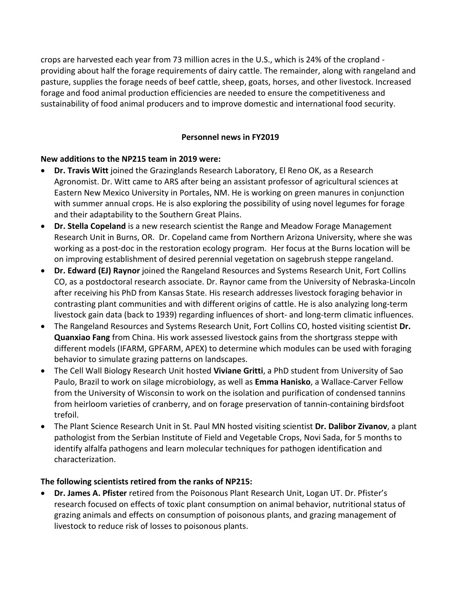crops are harvested each year from 73 million acres in the U.S., which is 24% of the cropland providing about half the forage requirements of dairy cattle. The remainder, along with rangeland and pasture, supplies the forage needs of beef cattle, sheep, goats, horses, and other livestock. Increased forage and food animal production efficiencies are needed to ensure the competitiveness and sustainability of food animal producers and to improve domestic and international food security.

# **Personnel news in FY2019**

# **New additions to the NP215 team in 2019 were:**

- **Dr. Travis Witt** joined the Grazinglands Research Laboratory, El Reno OK, as a Research Agronomist. Dr. Witt came to ARS after being an assistant professor of agricultural sciences at Eastern New Mexico University in Portales, NM. He is working on green manures in conjunction with summer annual crops. He is also exploring the possibility of using novel legumes for forage and their adaptability to the Southern Great Plains.
- **Dr. Stella Copeland** is a new research scientist the Range and Meadow Forage Management Research Unit in Burns, OR. Dr. Copeland came from Northern Arizona University, where she was working as a post-doc in the restoration ecology program. Her focus at the Burns location will be on improving establishment of desired perennial vegetation on sagebrush steppe rangeland.
- **Dr. Edward (EJ) Raynor** joined the Rangeland Resources and Systems Research Unit, Fort Collins CO, as a postdoctoral research associate. Dr. Raynor came from the University of Nebraska-Lincoln after receiving his PhD from Kansas State. His research addresses livestock foraging behavior in contrasting plant communities and with different origins of cattle. He is also analyzing long-term livestock gain data (back to 1939) regarding influences of short- and long-term climatic influences.
- The Rangeland Resources and Systems Research Unit, Fort Collins CO, hosted visiting scientist **Dr. Quanxiao Fang** from China. His work assessed livestock gains from the shortgrass steppe with different models (IFARM, GPFARM, APEX) to determine which modules can be used with foraging behavior to simulate grazing patterns on landscapes.
- The Cell Wall Biology Research Unit hosted **Viviane Gritti**, a PhD student from University of Sao Paulo, Brazil to work on silage microbiology, as well as **Emma Hanisko**, a Wallace-Carver Fellow from the University of Wisconsin to work on the isolation and purification of condensed tannins from heirloom varieties of cranberry, and on forage preservation of tannin-containing birdsfoot trefoil.
- The Plant Science Research Unit in St. Paul MN hosted visiting scientist **Dr. Dalibor Zivanov**, a plant pathologist from the Serbian Institute of Field and Vegetable Crops, Novi Sada, for 5 months to identify alfalfa pathogens and learn molecular techniques for pathogen identification and characterization.

# **The following scientists retired from the ranks of NP215:**

• **Dr. James A. Pfister** retired from the Poisonous Plant Research Unit, Logan UT. Dr. Pfister's research focused on effects of toxic plant consumption on animal behavior, nutritional status of grazing animals and effects on consumption of poisonous plants, and grazing management of livestock to reduce risk of losses to poisonous plants.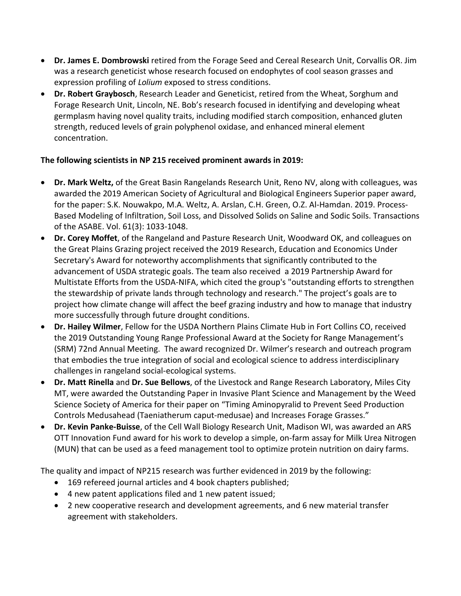- **Dr. James E. Dombrowski** retired from the Forage Seed and Cereal Research Unit, Corvallis OR. Jim was a research geneticist whose research focused on endophytes of cool season grasses and expression profiling of *Lolium* exposed to stress conditions.
- **Dr. Robert Graybosch**, Research Leader and Geneticist, retired from the Wheat, Sorghum and Forage Research Unit, Lincoln, NE. Bob's research focused in identifying and developing wheat germplasm having novel quality traits, including modified starch composition, enhanced gluten strength, reduced levels of grain polyphenol oxidase, and enhanced mineral element concentration.

# **The following scientists in NP 215 received prominent awards in 2019:**

- **Dr. Mark Weltz,** of the Great Basin Rangelands Research Unit, Reno NV, along with colleagues, was awarded the 2019 American Society of Agricultural and Biological Engineers Superior paper award, for the paper: S.K. Nouwakpo, M.A. Weltz, A. Arslan, C.H. Green, O.Z. Al-Hamdan. 2019. Process-Based Modeling of Infiltration, Soil Loss, and Dissolved Solids on Saline and Sodic Soils. Transactions of the ASABE. Vol. 61(3): 1033-1048.
- **Dr. Corey Moffet**, of the Rangeland and Pasture Research Unit, Woodward OK, and colleagues on the Great Plains Grazing project received the 2019 Research, Education and Economics Under Secretary's Award for noteworthy accomplishments that significantly contributed to the advancement of USDA strategic goals. The team also received a 2019 Partnership Award for Multistate Efforts from the USDA-NIFA, which cited the group's "outstanding efforts to strengthen the stewardship of private lands through technology and research." The project's goals are to project how climate change will affect the beef grazing industry and how to manage that industry more successfully through future drought conditions.
- **Dr. Hailey Wilmer**, Fellow for the USDA Northern Plains Climate Hub in Fort Collins CO, received the 2019 Outstanding Young Range Professional Award at the Society for Range Management's (SRM) 72nd Annual Meeting. The award recognized Dr. Wilmer's research and outreach program that embodies the true integration of social and ecological science to address interdisciplinary challenges in rangeland social-ecological systems.
- **Dr. Matt Rinella** and **Dr. Sue Bellows**, of the Livestock and Range Research Laboratory, Miles City MT, were awarded the Outstanding Paper in Invasive Plant Science and Management by the Weed Science Society of America for their paper on "Timing Aminopyralid to Prevent Seed Production Controls Medusahead (Taeniatherum caput-medusae) and Increases Forage Grasses."
- **Dr. Kevin Panke-Buisse**, of the Cell Wall Biology Research Unit, Madison WI, was awarded an ARS OTT Innovation Fund award for his work to develop a simple, on-farm assay for Milk Urea Nitrogen (MUN) that can be used as a feed management tool to optimize protein nutrition on dairy farms.

The quality and impact of NP215 research was further evidenced in 2019 by the following:

- 169 refereed journal articles and 4 book chapters published;
- 4 new patent applications filed and 1 new patent issued;
- 2 new cooperative research and development agreements, and 6 new material transfer agreement with stakeholders.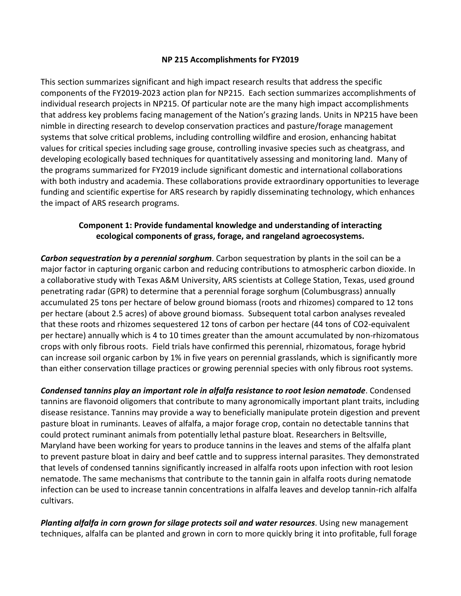#### **NP 215 Accomplishments for FY2019**

This section summarizes significant and high impact research results that address the specific components of the FY2019-2023 action plan for NP215. Each section summarizes accomplishments of individual research projects in NP215. Of particular note are the many high impact accomplishments that address key problems facing management of the Nation's grazing lands. Units in NP215 have been nimble in directing research to develop conservation practices and pasture/forage management systems that solve critical problems, including controlling wildfire and erosion, enhancing habitat values for critical species including sage grouse, controlling invasive species such as cheatgrass, and developing ecologically based techniques for quantitatively assessing and monitoring land. Many of the programs summarized for FY2019 include significant domestic and international collaborations with both industry and academia. These collaborations provide extraordinary opportunities to leverage funding and scientific expertise for ARS research by rapidly disseminating technology, which enhances the impact of ARS research programs.

# **Component 1: Provide fundamental knowledge and understanding of interacting ecological components of grass, forage, and rangeland agroecosystems.**

*Carbon sequestration by a perennial sorghum*. Carbon sequestration by plants in the soil can be a major factor in capturing organic carbon and reducing contributions to atmospheric carbon dioxide. In a collaborative study with Texas A&M University, ARS scientists at College Station, Texas, used ground penetrating radar (GPR) to determine that a perennial forage sorghum (Columbusgrass) annually accumulated 25 tons per hectare of below ground biomass (roots and rhizomes) compared to 12 tons per hectare (about 2.5 acres) of above ground biomass. Subsequent total carbon analyses revealed that these roots and rhizomes sequestered 12 tons of carbon per hectare (44 tons of CO2-equivalent per hectare) annually which is 4 to 10 times greater than the amount accumulated by non-rhizomatous crops with only fibrous roots. Field trials have confirmed this perennial, rhizomatous, forage hybrid can increase soil organic carbon by 1% in five years on perennial grasslands, which is significantly more than either conservation tillage practices or growing perennial species with only fibrous root systems.

*Condensed tannins play an important role in alfalfa resistance to root lesion nematode*. Condensed tannins are flavonoid oligomers that contribute to many agronomically important plant traits, including disease resistance. Tannins may provide a way to beneficially manipulate protein digestion and prevent pasture bloat in ruminants. Leaves of alfalfa, a major forage crop, contain no detectable tannins that could protect ruminant animals from potentially lethal pasture bloat. Researchers in Beltsville, Maryland have been working for years to produce tannins in the leaves and stems of the alfalfa plant to prevent pasture bloat in dairy and beef cattle and to suppress internal parasites. They demonstrated that levels of condensed tannins significantly increased in alfalfa roots upon infection with root lesion nematode. The same mechanisms that contribute to the tannin gain in alfalfa roots during nematode infection can be used to increase tannin concentrations in alfalfa leaves and develop tannin-rich alfalfa cultivars.

*Planting alfalfa in corn grown for silage protects soil and water resources*. Using new management techniques, alfalfa can be planted and grown in corn to more quickly bring it into profitable, full forage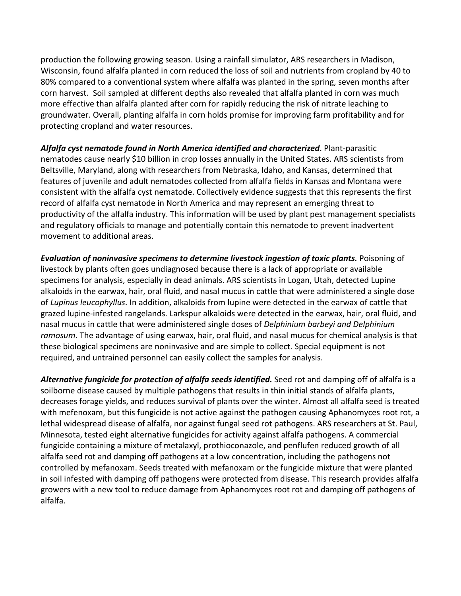production the following growing season. Using a rainfall simulator, ARS researchers in Madison, Wisconsin, found alfalfa planted in corn reduced the loss of soil and nutrients from cropland by 40 to 80% compared to a conventional system where alfalfa was planted in the spring, seven months after corn harvest. Soil sampled at different depths also revealed that alfalfa planted in corn was much more effective than alfalfa planted after corn for rapidly reducing the risk of nitrate leaching to groundwater. Overall, planting alfalfa in corn holds promise for improving farm profitability and for protecting cropland and water resources.

*Alfalfa cyst nematode found in North America identified and characterized*. Plant-parasitic nematodes cause nearly \$10 billion in crop losses annually in the United States. ARS scientists from Beltsville, Maryland, along with researchers from Nebraska, Idaho, and Kansas, determined that features of juvenile and adult nematodes collected from alfalfa fields in Kansas and Montana were consistent with the alfalfa cyst nematode. Collectively evidence suggests that this represents the first record of alfalfa cyst nematode in North America and may represent an emerging threat to productivity of the alfalfa industry. This information will be used by plant pest management specialists and regulatory officials to manage and potentially contain this nematode to prevent inadvertent movement to additional areas.

*Evaluation of noninvasive specimens to determine livestock ingestion of toxic plants.* Poisoning of livestock by plants often goes undiagnosed because there is a lack of appropriate or available specimens for analysis, especially in dead animals. ARS scientists in Logan, Utah, detected Lupine alkaloids in the earwax, hair, oral fluid, and nasal mucus in cattle that were administered a single dose of *Lupinus leucophyllus*. In addition, alkaloids from lupine were detected in the earwax of cattle that grazed lupine-infested rangelands. Larkspur alkaloids were detected in the earwax, hair, oral fluid, and nasal mucus in cattle that were administered single doses of *Delphinium barbeyi and Delphinium ramosum*. The advantage of using earwax, hair, oral fluid, and nasal mucus for chemical analysis is that these biological specimens are noninvasive and are simple to collect. Special equipment is not required, and untrained personnel can easily collect the samples for analysis.

*Alternative fungicide for protection of alfalfa seeds identified.* Seed rot and damping off of alfalfa is a soilborne disease caused by multiple pathogens that results in thin initial stands of alfalfa plants, decreases forage yields, and reduces survival of plants over the winter. Almost all alfalfa seed is treated with mefenoxam, but this fungicide is not active against the pathogen causing Aphanomyces root rot, a lethal widespread disease of alfalfa, nor against fungal seed rot pathogens. ARS researchers at St. Paul, Minnesota, tested eight alternative fungicides for activity against alfalfa pathogens. A commercial fungicide containing a mixture of metalaxyl, prothioconazole, and penflufen reduced growth of all alfalfa seed rot and damping off pathogens at a low concentration, including the pathogens not controlled by mefanoxam. Seeds treated with mefanoxam or the fungicide mixture that were planted in soil infested with damping off pathogens were protected from disease. This research provides alfalfa growers with a new tool to reduce damage from Aphanomyces root rot and damping off pathogens of alfalfa.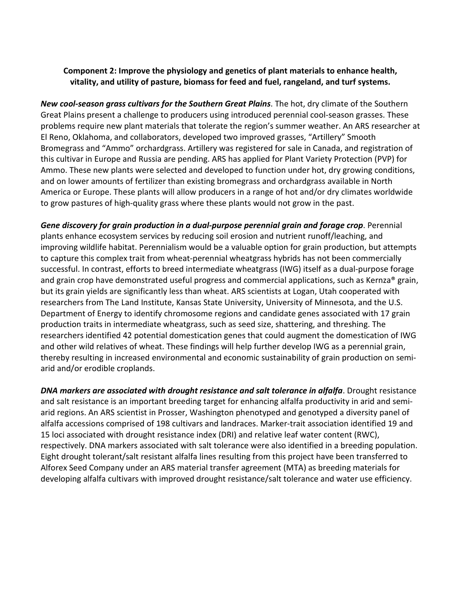### **Component 2: Improve the physiology and genetics of plant materials to enhance health, vitality, and utility of pasture, biomass for feed and fuel, rangeland, and turf systems.**

*New cool-season grass cultivars for the Southern Great Plains*. The hot, dry climate of the Southern Great Plains present a challenge to producers using introduced perennial cool-season grasses. These problems require new plant materials that tolerate the region's summer weather. An ARS researcher at El Reno, Oklahoma, and collaborators, developed two improved grasses, "Artillery" Smooth Bromegrass and "Ammo" orchardgrass. Artillery was registered for sale in Canada, and registration of this cultivar in Europe and Russia are pending. ARS has applied for Plant Variety Protection (PVP) for Ammo. These new plants were selected and developed to function under hot, dry growing conditions, and on lower amounts of fertilizer than existing bromegrass and orchardgrass available in North America or Europe. These plants will allow producers in a range of hot and/or dry climates worldwide to grow pastures of high-quality grass where these plants would not grow in the past.

*Gene discovery for grain production in a dual-purpose perennial grain and forage crop*. Perennial plants enhance ecosystem services by reducing soil erosion and nutrient runoff/leaching, and improving wildlife habitat. Perennialism would be a valuable option for grain production, but attempts to capture this complex trait from wheat-perennial wheatgrass hybrids has not been commercially successful. In contrast, efforts to breed intermediate wheatgrass (IWG) itself as a dual-purpose forage and grain crop have demonstrated useful progress and commercial applications, such as Kernza® grain, but its grain yields are significantly less than wheat. ARS scientists at Logan, Utah cooperated with researchers from The Land Institute, Kansas State University, University of Minnesota, and the U.S. Department of Energy to identify chromosome regions and candidate genes associated with 17 grain production traits in intermediate wheatgrass, such as seed size, shattering, and threshing. The researchers identified 42 potential domestication genes that could augment the domestication of IWG and other wild relatives of wheat. These findings will help further develop IWG as a perennial grain, thereby resulting in increased environmental and economic sustainability of grain production on semiarid and/or erodible croplands.

**DNA markers are associated with drought resistance and salt tolerance in alfalfa.** Drought resistance and salt resistance is an important breeding target for enhancing alfalfa productivity in arid and semiarid regions. An ARS scientist in Prosser, Washington phenotyped and genotyped a diversity panel of alfalfa accessions comprised of 198 cultivars and landraces. Marker-trait association identified 19 and 15 loci associated with drought resistance index (DRI) and relative leaf water content (RWC), respectively. DNA markers associated with salt tolerance were also identified in a breeding population. Eight drought tolerant/salt resistant alfalfa lines resulting from this project have been transferred to Alforex Seed Company under an ARS material transfer agreement (MTA) as breeding materials for developing alfalfa cultivars with improved drought resistance/salt tolerance and water use efficiency.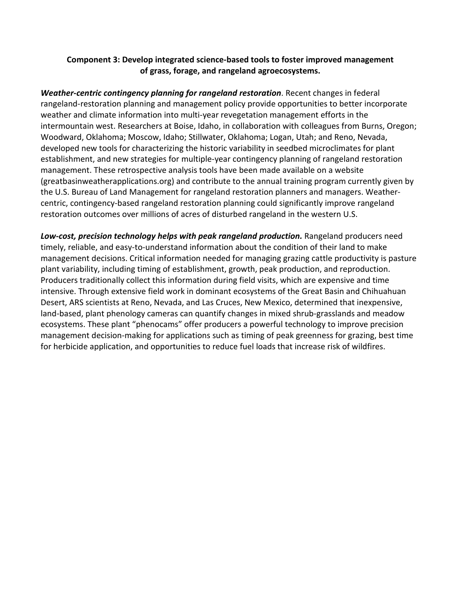# **Component 3: Develop integrated science-based tools to foster improved management of grass, forage, and rangeland agroecosystems.**

*Weather-centric contingency planning for rangeland restoration*. Recent changes in federal rangeland-restoration planning and management policy provide opportunities to better incorporate weather and climate information into multi-year revegetation management efforts in the intermountain west. Researchers at Boise, Idaho, in collaboration with colleagues from Burns, Oregon; Woodward, Oklahoma; Moscow, Idaho; Stillwater, Oklahoma; Logan, Utah; and Reno, Nevada, developed new tools for characterizing the historic variability in seedbed microclimates for plant establishment, and new strategies for multiple-year contingency planning of rangeland restoration management. These retrospective analysis tools have been made available on a website (greatbasinweatherapplications.org) and contribute to the annual training program currently given by the U.S. Bureau of Land Management for rangeland restoration planners and managers. Weathercentric, contingency-based rangeland restoration planning could significantly improve rangeland restoration outcomes over millions of acres of disturbed rangeland in the western U.S.

*Low-cost, precision technology helps with peak rangeland production.* Rangeland producers need timely, reliable, and easy-to-understand information about the condition of their land to make management decisions. Critical information needed for managing grazing cattle productivity is pasture plant variability, including timing of establishment, growth, peak production, and reproduction. Producers traditionally collect this information during field visits, which are expensive and time intensive. Through extensive field work in dominant ecosystems of the Great Basin and Chihuahuan Desert, ARS scientists at Reno, Nevada, and Las Cruces, New Mexico, determined that inexpensive, land-based, plant phenology cameras can quantify changes in mixed shrub-grasslands and meadow ecosystems. These plant "phenocams" offer producers a powerful technology to improve precision management decision-making for applications such as timing of peak greenness for grazing, best time for herbicide application, and opportunities to reduce fuel loads that increase risk of wildfires.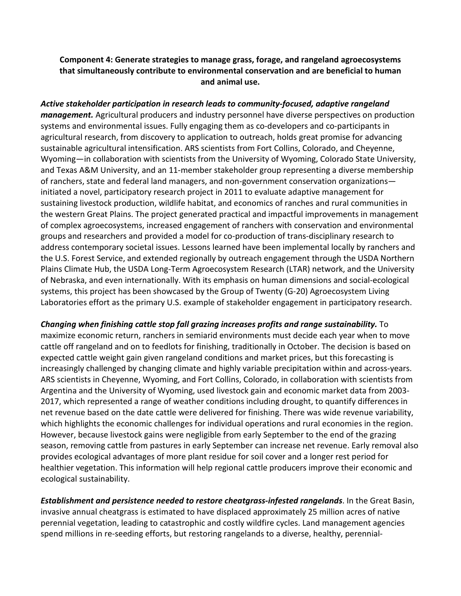# **Component 4: Generate strategies to manage grass, forage, and rangeland agroecosystems that simultaneously contribute to environmental conservation and are beneficial to human and animal use.**

*Active stakeholder participation in research leads to community-focused, adaptive rangeland management.* Agricultural producers and industry personnel have diverse perspectives on production systems and environmental issues. Fully engaging them as co-developers and co-participants in agricultural research, from discovery to application to outreach, holds great promise for advancing sustainable agricultural intensification. ARS scientists from Fort Collins, Colorado, and Cheyenne, Wyoming—in collaboration with scientists from the University of Wyoming, Colorado State University, and Texas A&M University, and an 11-member stakeholder group representing a diverse membership of ranchers, state and federal land managers, and non-government conservation organizations initiated a novel, participatory research project in 2011 to evaluate adaptive management for sustaining livestock production, wildlife habitat, and economics of ranches and rural communities in the western Great Plains. The project generated practical and impactful improvements in management of complex agroecosystems, increased engagement of ranchers with conservation and environmental groups and researchers and provided a model for co-production of trans-disciplinary research to address contemporary societal issues. Lessons learned have been implemental locally by ranchers and the U.S. Forest Service, and extended regionally by outreach engagement through the USDA Northern Plains Climate Hub, the USDA Long-Term Agroecosystem Research (LTAR) network, and the University of Nebraska, and even internationally. With its emphasis on human dimensions and social-ecological systems, this project has been showcased by the Group of Twenty (G-20) Agroecosystem Living Laboratories effort as the primary U.S. example of stakeholder engagement in participatory research.

*Changing when finishing cattle stop fall grazing increases profits and range sustainability.* To maximize economic return, ranchers in semiarid environments must decide each year when to move cattle off rangeland and on to feedlots for finishing, traditionally in October. The decision is based on expected cattle weight gain given rangeland conditions and market prices, but this forecasting is increasingly challenged by changing climate and highly variable precipitation within and across-years. ARS scientists in Cheyenne, Wyoming, and Fort Collins, Colorado, in collaboration with scientists from Argentina and the University of Wyoming, used livestock gain and economic market data from 2003- 2017, which represented a range of weather conditions including drought, to quantify differences in net revenue based on the date cattle were delivered for finishing. There was wide revenue variability, which highlights the economic challenges for individual operations and rural economies in the region. However, because livestock gains were negligible from early September to the end of the grazing season, removing cattle from pastures in early September can increase net revenue. Early removal also provides ecological advantages of more plant residue for soil cover and a longer rest period for healthier vegetation. This information will help regional cattle producers improve their economic and ecological sustainability.

*Establishment and persistence needed to restore cheatgrass-infested rangelands*. In the Great Basin, invasive annual cheatgrass is estimated to have displaced approximately 25 million acres of native perennial vegetation, leading to catastrophic and costly wildfire cycles. Land management agencies spend millions in re-seeding efforts, but restoring rangelands to a diverse, healthy, perennial